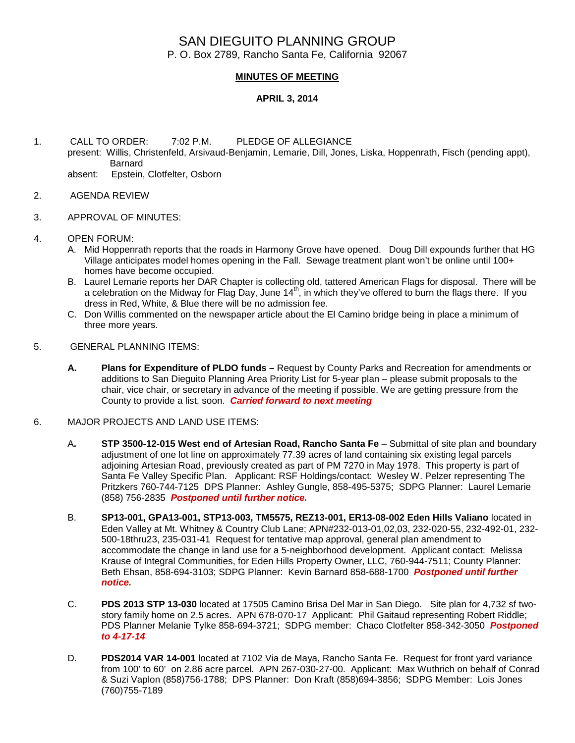## SAN DIEGUITO PLANNING GROUP P. O. Box 2789, Rancho Santa Fe, California 92067

## **MINUTES OF MEETING**

## **APRIL 3, 2014**

- 1. CALL TO ORDER: 7:02 P.M. PLEDGE OF ALLEGIANCE present: Willis, Christenfeld, Arsivaud-Benjamin, Lemarie, Dill, Jones, Liska, Hoppenrath, Fisch (pending appt), Barnard absent: Epstein, Clotfelter, Osborn
- 2. AGENDA REVIEW
- 3. APPROVAL OF MINUTES:
- 4. OPEN FORUM:
	- A. Mid Hoppenrath reports that the roads in Harmony Grove have opened. Doug Dill expounds further that HG Village anticipates model homes opening in the Fall. Sewage treatment plant won't be online until 100+ homes have become occupied.
	- B. Laurel Lemarie reports her DAR Chapter is collecting old, tattered American Flags for disposal. There will be a celebration on the Midway for Flag Day, June 14<sup>th</sup>, in which they've offered to burn the flags there. If you dress in Red, White, & Blue there will be no admission fee.
	- C. Don Willis commented on the newspaper article about the El Camino bridge being in place a minimum of three more years.
- 5. GENERAL PLANNING ITEMS:
	- **A. Plans for Expenditure of PLDO funds –** Request by County Parks and Recreation for amendments or additions to San Dieguito Planning Area Priority List for 5-year plan – please submit proposals to the chair, vice chair, or secretary in advance of the meeting if possible. We are getting pressure from the County to provide a list, soon.*Carried forward to next meeting*
- 6. MAJOR PROJECTS AND LAND USE ITEMS:
	- A**. STP 3500-12-015 West end of Artesian Road, Rancho Santa Fe** Submittal of site plan and boundary adjustment of one lot line on approximately 77.39 acres of land containing six existing legal parcels adjoining Artesian Road, previously created as part of PM 7270 in May 1978. This property is part of Santa Fe Valley Specific Plan.Applicant: RSF Holdings/contact: Wesley W. Pelzer representing The Pritzkers 760-744-7125 DPS Planner: Ashley Gungle, 858-495-5375; SDPG Planner: Laurel Lemarie (858) 756-2835 *Postponed until further notice.*
	- B. **SP13-001, GPA13-001, STP13-003, TM5575, REZ13-001, ER13-08-002 Eden Hills Valiano** located in Eden Valley at Mt. Whitney & Country Club Lane; APN#232-013-01,02,03, 232-020-55, 232-492-01, 232- 500-18thru23, 235-031-41 Request for tentative map approval, general plan amendment to accommodate the change in land use for a 5-neighborhood development. Applicant contact: Melissa Krause of Integral Communities, for Eden Hills Property Owner, LLC, 760-944-7511; County Planner: Beth Ehsan, 858-694-3103; SDPG Planner: Kevin Barnard 858-688-1700 *Postponed until further notice.*
	- C. **PDS 2013 STP 13-030** located at 17505 Camino Brisa Del Mar in San Diego. Site plan for 4,732 sf twostory family home on 2.5 acres. APN 678-070-17 Applicant: Phil Gaitaud representing Robert Riddle; PDS Planner Melanie Tylke 858-694-3721; SDPG member: Chaco Clotfelter 858-342-3050 *Postponed to 4-17-14*
	- D. **PDS2014 VAR 14-001** located at 7102 Via de Maya, Rancho Santa Fe. Request for front yard variance from 100' to 60' on 2.86 acre parcel. APN 267-030-27-00. Applicant: Max Wuthrich on behalf of Conrad & Suzi Vaplon (858)756-1788; DPS Planner: Don Kraft (858)694-3856; SDPG Member: Lois Jones (760)755-7189